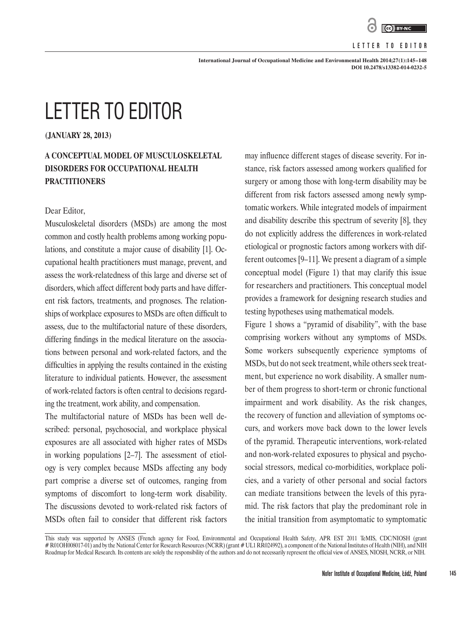

#### **LETTER TO EDITOR**

**International Journal of Occupational Medicine and Environmental Health 2014;27(1):145–148 DOI 10.2478/s13382-014-0232-5**

# LETTER TO EDITOR

**(JANUARY 28, 2013)**

## **A CONCEPTUAL MODEL OF MUSCULOSKELETAL DISORDERS FOR OCCUPATIONAL HEALTH PRACTITIONERS**

## Dear Editor,

Musculoskeletal disorders (MSDs) are among the most common and costly health problems among working populations, and constitute a major cause of disability [1]. Occupational health practitioners must manage, prevent, and assess the work-relatedness of this large and diverse set of disorders, which affect different body parts and have different risk factors, treatments, and prognoses. The relationships of workplace exposures to MSDs are often difficult to assess, due to the multifactorial nature of these disorders, differing findings in the medical literature on the associations between personal and work-related factors, and the difficulties in applying the results contained in the existing literature to individual patients. However, the assessment of work-related factors is often central to decisions regarding the treatment, work ability, and compensation.

The multifactorial nature of MSDs has been well described: personal, psychosocial, and workplace physical exposures are all associated with higher rates of MSDs in working populations [2–7]. The assessment of etiology is very complex because MSDs affecting any body part comprise a diverse set of outcomes, ranging from symptoms of discomfort to long-term work disability. The discussions devoted to work-related risk factors of MSDs often fail to consider that different risk factors

may influence different stages of disease severity. For instance, risk factors assessed among workers qualified for surgery or among those with long-term disability may be different from risk factors assessed among newly symptomatic workers. While integrated models of impairment and disability describe this spectrum of severity [8], they do not explicitly address the differences in work-related etiological or prognostic factors among workers with different outcomes [9–11]. We present a diagram of a simple conceptual model (Figure 1) that may clarify this issue for researchers and practitioners. This conceptual model provides a framework for designing research studies and testing hypotheses using mathematical models.

Figure 1 shows a "pyramid of disability", with the base comprising workers without any symptoms of MSDs. Some workers subsequently experience symptoms of MSDs, but do not seek treatment, while others seek treatment, but experience no work disability. A smaller number of them progress to short-term or chronic functional impairment and work disability. As the risk changes, the recovery of function and alleviation of symptoms occurs, and workers move back down to the lower levels of the pyramid. Therapeutic interventions, work-related and non-work-related exposures to physical and psychosocial stressors, medical co-morbidities, workplace policies, and a variety of other personal and social factors can mediate transitions between the levels of this pyramid. The risk factors that play the predominant role in the initial transition from asymptomatic to symptomatic

**145**

This study was supported by ANSES (French agency for Food, Environmental and Occupational Health Safety, APR EST 2011 TeMIS, CDC/NIOSH (grant # R01OH008017-01) and by the National Center for Research Resources (NCRR) (grant # UL1 RR024992), a component of the National Institutes of Health (NIH), and NIH Roadmap for Medical Research. Its contents are solely the responsibility of the authors and do not necessarily represent the official view of ANSES, NIOSH, NCRR, or NIH.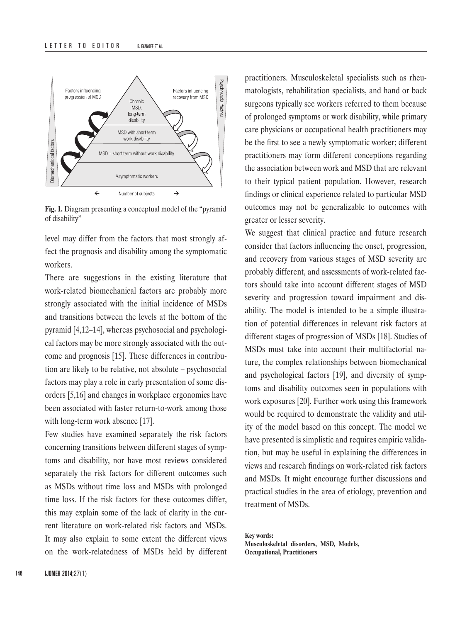

**Fig. 1.** Diagram presenting a conceptual model of the "pyramid of disability"

level may differ from the factors that most strongly affect the prognosis and disability among the symptomatic workers.

There are suggestions in the existing literature that work-related biomechanical factors are probably more strongly associated with the initial incidence of MSDs and transitions between the levels at the bottom of the pyramid [4,12–14], whereas psychosocial and psychological factors may be more strongly associated with the outcome and prognosis [15]. These differences in contribution are likely to be relative, not absolute – psychosocial factors may play a role in early presentation of some disorders [5,16] and changes in workplace ergonomics have been associated with faster return-to-work among those with long-term work absence [17].

Few studies have examined separately the risk factors concerning transitions between different stages of symptoms and disability, nor have most reviews considered separately the risk factors for different outcomes such as MSDs without time loss and MSDs with prolonged time loss. If the risk factors for these outcomes differ, this may explain some of the lack of clarity in the current literature on work-related risk factors and MSDs. It may also explain to some extent the different views on the work-relatedness of MSDs held by different

practitioners. Musculoskeletal specialists such as rheumatologists, rehabilitation specialists, and hand or back surgeons typically see workers referred to them because of prolonged symptoms or work disability, while primary care physicians or occupational health practitioners may be the first to see a newly symptomatic worker; different practitioners may form different conceptions regarding the association between work and MSD that are relevant to their typical patient population. However, research findings or clinical experience related to particular MSD outcomes may not be generalizable to outcomes with greater or lesser severity.

We suggest that clinical practice and future research consider that factors influencing the onset, progression, and recovery from various stages of MSD severity are probably different, and assessments of work-related factors should take into account different stages of MSD severity and progression toward impairment and disability. The model is intended to be a simple illustration of potential differences in relevant risk factors at different stages of progression of MSDs [18]. Studies of MSDs must take into account their multifactorial nature, the complex relationships between biomechanical and psychological factors [19], and diversity of symptoms and disability outcomes seen in populations with work exposures [20]. Further work using this framework would be required to demonstrate the validity and utility of the model based on this concept. The model we have presented is simplistic and requires empiric validation, but may be useful in explaining the differences in views and research findings on work-related risk factors and MSDs. It might encourage further discussions and practical studies in the area of etiology, prevention and treatment of MSDs.

**Key words: Musculoskeletal disorders, MSD, Models, Occupational, Practitioners**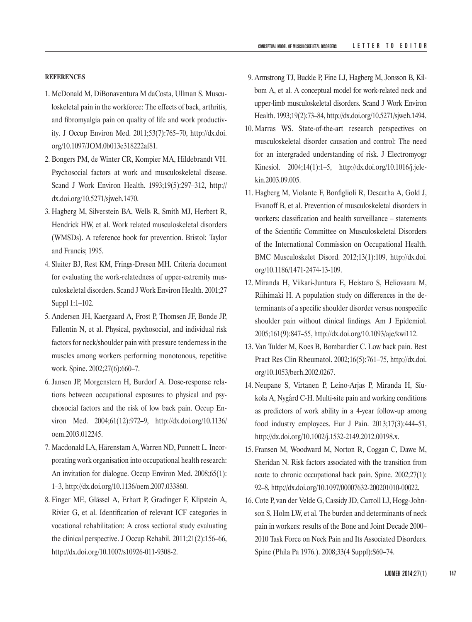### **REFERENCES**

- 1. McDonald M, DiBonaventura M daCosta, Ullman S. Musculoskeletal pain in the workforce: The effects of back, arthritis, and fibromyalgia pain on quality of life and work productivity. J Occup Environ Med. 2011;53(7):765–70, http://dx.doi. org/10.1097/JOM.0b013e318222af81.
- 2. Bongers PM, de Winter CR, Kompier MA, Hildebrandt VH. Psychosocial factors at work and musculoskeletal disease. Scand J Work Environ Health. 1993;19(5):297–312, http:// dx.doi.org/10.5271/sjweh.1470.
- 3. Hagberg M, Silverstein BA, Wells R, Smith MJ, Herbert R, Hendrick HW, et al. Work related musculoskeletal disorders (WMSDs). A reference book for prevention. Bristol: Taylor and Francis; 1995.
- 4. Sluiter BJ, Rest KM, Frings-Dresen MH. Criteria document for evaluating the work-relatedness of upper-extremity musculoskeletal disorders. Scand J Work Environ Health. 2001;27 Suppl 1:1–102.
- 5. Andersen JH, Kaergaard A, Frost P, Thomsen JF, Bonde JP, Fallentin N, et al. Physical, psychosocial, and individual risk factors for neck/shoulder pain with pressure tenderness in the muscles among workers performing monotonous, repetitive work. Spine. 2002;27(6):660–7.
- 6. Jansen JP, Morgenstern H, Burdorf A. Dose-response relations between occupational exposures to physical and psychosocial factors and the risk of low back pain. Occup Environ Med. 2004;61(12):972–9, http://dx.doi.org/10.1136/ oem.2003.012245.
- 7. Macdonald LA, Härenstam A, Warren ND, Punnett L. Incorporating work organisation into occupational health research: An invitation for dialogue. Occup Environ Med. 2008;65(1): 1–3, http://dx.doi.org/10.1136/oem.2007.033860.
- 8.  Finger ME, Glässel A, Erhart P, Gradinger F, Klipstein A, Rivier G, et al. Identification of relevant ICF categories in vocational rehabilitation: A cross sectional study evaluating the clinical perspective. J Occup Rehabil. 2011;21(2):156–66, http://dx.doi.org/10.1007/s10926-011-9308-2.
- 9. Armstrong TJ, Buckle P, Fine LJ, Hagberg M, Jonsson B, Kilbom A, et al. A conceptual model for work-related neck and upper-limb musculoskeletal disorders. Scand J Work Environ Health. 1993;19(2):73–84, http://dx.doi.org/10.5271/sjweh.1494.
- 10. Marras WS. State-of-the-art research perspectives on musculoskeletal disorder causation and control: The need for an intergraded understanding of risk. J Electromyogr Kinesiol. 2004;14(1):1–5, http://dx.doi.org/10.1016/j.jelekin.2003.09.005.
- 11.  Hagberg M, Violante F, Bonfiglioli R, Descatha A, Gold J, Evanoff B, et al. Prevention of musculoskeletal disorders in workers: classification and health surveillance – statements of the Scientific Committee on Musculoskeletal Disorders of the International Commission on Occupational Health. BMC Musculoskelet Disord. 2012;13(1):109, http://dx.doi. org/10.1186/1471-2474-13-109.
- 12. Miranda H, Viikari-Juntura E, Heistaro S, Heliovaara M, Riihimaki H. A population study on differences in the determinants of a specific shoulder disorder versus nonspecific shoulder pain without clinical findings. Am J Epidemiol. 2005;161(9):847–55, http://dx.doi.org/10.1093/aje/kwi112.
- 13. Van Tulder M, Koes B, Bombardier C. Low back pain. Best Pract Res Clin Rheumatol. 2002;16(5):761–75, http://dx.doi. org/10.1053/berh.2002.0267.
- 14. Neupane S, Virtanen P, Leino-Arjas P, Miranda H, Siukola A, Nygård C-H. Multi-site pain and working conditions as predictors of work ability in a 4-year follow-up among food industry employees. Eur J Pain. 2013;17(3):444–51, http://dx.doi.org/10.1002/j.1532-2149.2012.00198.x.
- 15. Fransen M, Woodward M, Norton R, Coggan C, Dawe M, Sheridan N. Risk factors associated with the transition from acute to chronic occupational back pain. Spine. 2002;27(1): 92–8, http://dx.doi.org/10.1097/00007632-200201010-00022.
- 16.  Cote P, van der Velde G, Cassidy JD, Carroll LJ, Hogg-Johnson S, Holm LW, et al. The burden and determinants of neck pain in workers: results of the Bone and Joint Decade 2000– 2010 Task Force on Neck Pain and Its Associated Disorders. Spine (Phila Pa 1976.). 2008;33(4 Suppl):S60–74.